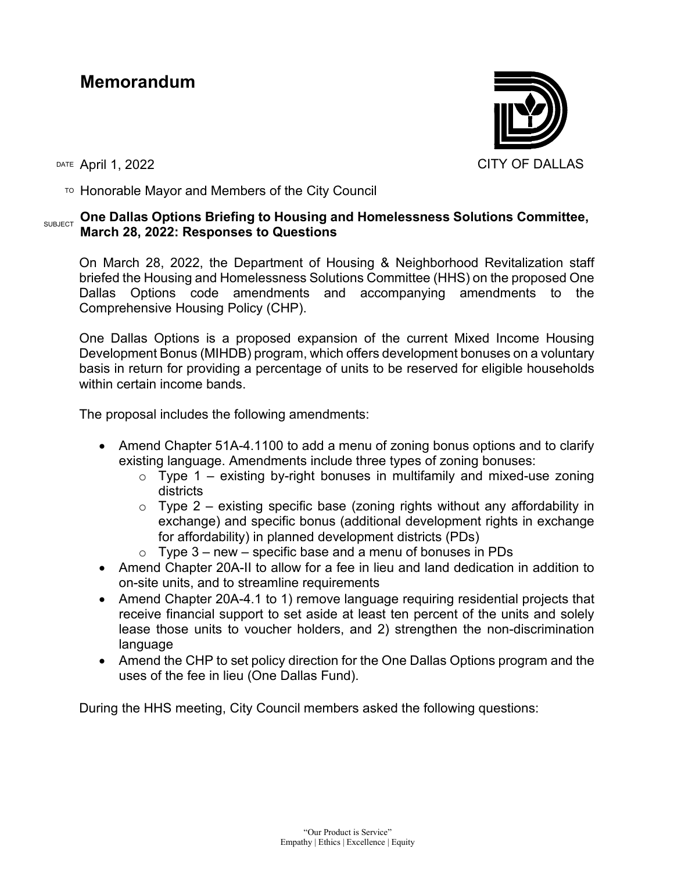# **Memorandum**



TO Honorable Mayor and Members of the City Council

#### **SUBJECT** One Dallas Options Briefing to Housing and Homelessness Solutions Committee, **March 28, 2022: Responses to Questions**

On March 28, 2022, the Department of Housing & Neighborhood Revitalization staff briefed the Housing and Homelessness Solutions Committee (HHS) on the proposed One Dallas Options code amendments and accompanying amendments to the Comprehensive Housing Policy (CHP).

One Dallas Options is a proposed expansion of the current Mixed Income Housing Development Bonus (MIHDB) program, which offers development bonuses on a voluntary basis in return for providing a percentage of units to be reserved for eligible households within certain income bands.

The proposal includes the following amendments:

- Amend Chapter 51A-4.1100 to add a menu of zoning bonus options and to clarify existing language. Amendments include three types of zoning bonuses:
	- $\circ$  Type 1 existing by-right bonuses in multifamily and mixed-use zoning districts
	- $\circ$  Type 2 existing specific base (zoning rights without any affordability in exchange) and specific bonus (additional development rights in exchange for affordability) in planned development districts (PDs)
	- $\circ$  Type 3 new specific base and a menu of bonuses in PDs
- Amend Chapter 20A-II to allow for a fee in lieu and land dedication in addition to on-site units, and to streamline requirements
- Amend Chapter 20A-4.1 to 1) remove language requiring residential projects that receive financial support to set aside at least ten percent of the units and solely lease those units to voucher holders, and 2) strengthen the non-discrimination language
- Amend the CHP to set policy direction for the One Dallas Options program and the uses of the fee in lieu (One Dallas Fund).

During the HHS meeting, City Council members asked the following questions: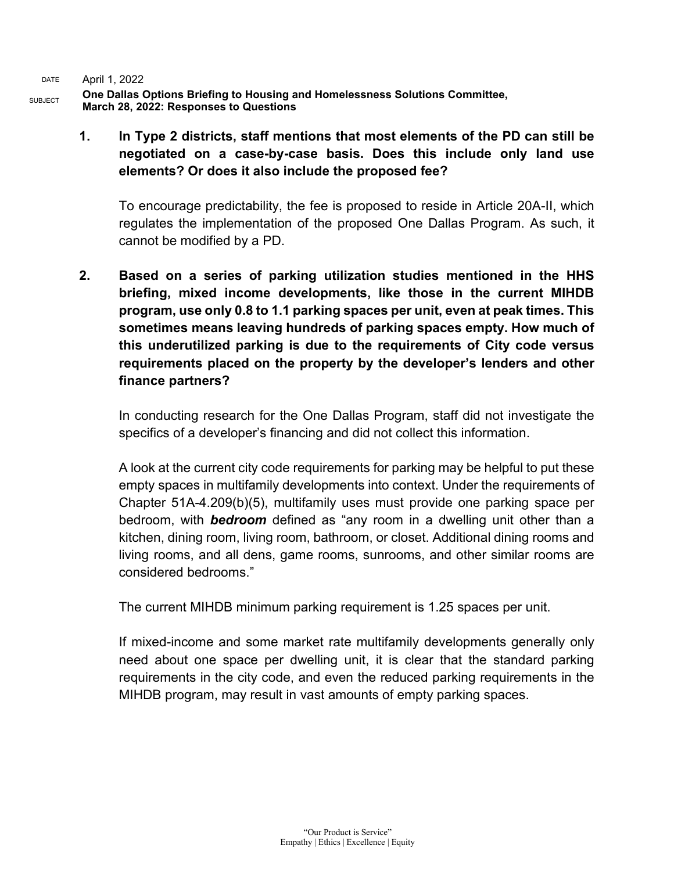**One Dallas Options Briefing to Housing and Homelessness Solutions Committee, March 28, 2022: Responses to Questions**

**1. In Type 2 districts, staff mentions that most elements of the PD can still be negotiated on a case-by-case basis. Does this include only land use elements? Or does it also include the proposed fee?**

To encourage predictability, the fee is proposed to reside in Article 20A-II, which regulates the implementation of the proposed One Dallas Program. As such, it cannot be modified by a PD.

**2. Based on a series of parking utilization studies mentioned in the HHS briefing, mixed income developments, like those in the current MIHDB program, use only 0.8 to 1.1 parking spaces per unit, even at peak times. This sometimes means leaving hundreds of parking spaces empty. How much of this underutilized parking is due to the requirements of City code versus requirements placed on the property by the developer's lenders and other finance partners?**

In conducting research for the One Dallas Program, staff did not investigate the specifics of a developer's financing and did not collect this information.

A look at the current city code requirements for parking may be helpful to put these empty spaces in multifamily developments into context. Under the requirements of Chapter 51A-4.209(b)(5), multifamily uses must provide one parking space per bedroom, with *bedroom* defined as "any room in a dwelling unit other than a kitchen, dining room, living room, bathroom, or closet. Additional dining rooms and living rooms, and all dens, game rooms, sunrooms, and other similar rooms are considered bedrooms."

The current MIHDB minimum parking requirement is 1.25 spaces per unit.

If mixed-income and some market rate multifamily developments generally only need about one space per dwelling unit, it is clear that the standard parking requirements in the city code, and even the reduced parking requirements in the MIHDB program, may result in vast amounts of empty parking spaces.

SUBJECT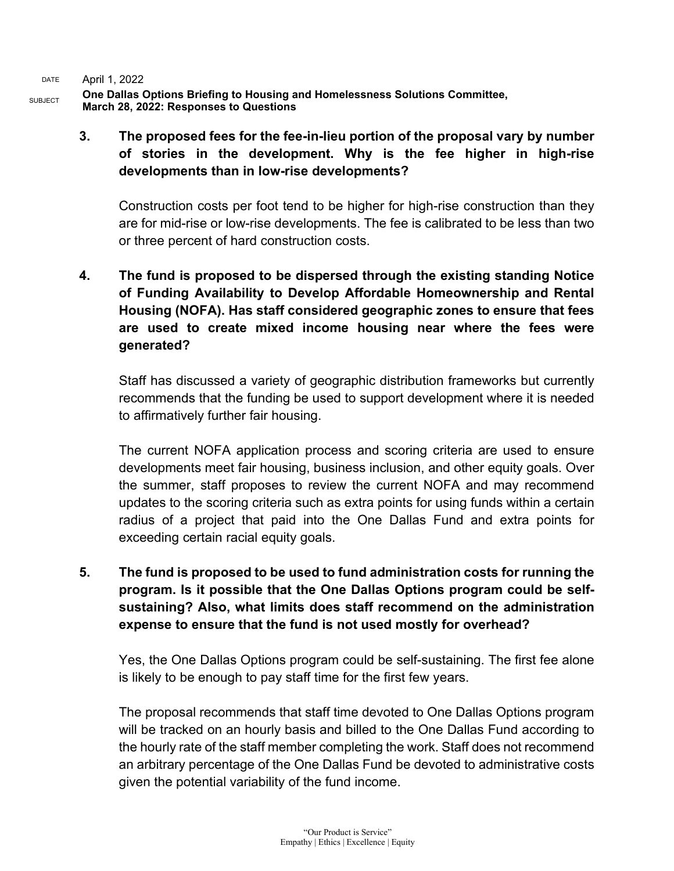SUBJECT **One Dallas Options Briefing to Housing and Homelessness Solutions Committee, March 28, 2022: Responses to Questions**

> **3. The proposed fees for the fee-in-lieu portion of the proposal vary by number of stories in the development. Why is the fee higher in high-rise developments than in low-rise developments?**

Construction costs per foot tend to be higher for high-rise construction than they are for mid-rise or low-rise developments. The fee is calibrated to be less than two or three percent of hard construction costs.

**4. The fund is proposed to be dispersed through the existing standing Notice of Funding Availability to Develop Affordable Homeownership and Rental Housing (NOFA). Has staff considered geographic zones to ensure that fees are used to create mixed income housing near where the fees were generated?**

Staff has discussed a variety of geographic distribution frameworks but currently recommends that the funding be used to support development where it is needed to affirmatively further fair housing.

The current NOFA application process and scoring criteria are used to ensure developments meet fair housing, business inclusion, and other equity goals. Over the summer, staff proposes to review the current NOFA and may recommend updates to the scoring criteria such as extra points for using funds within a certain radius of a project that paid into the One Dallas Fund and extra points for exceeding certain racial equity goals.

**5. The fund is proposed to be used to fund administration costs for running the program. Is it possible that the One Dallas Options program could be selfsustaining? Also, what limits does staff recommend on the administration expense to ensure that the fund is not used mostly for overhead?**

Yes, the One Dallas Options program could be self-sustaining. The first fee alone is likely to be enough to pay staff time for the first few years.

The proposal recommends that staff time devoted to One Dallas Options program will be tracked on an hourly basis and billed to the One Dallas Fund according to the hourly rate of the staff member completing the work. Staff does not recommend an arbitrary percentage of the One Dallas Fund be devoted to administrative costs given the potential variability of the fund income.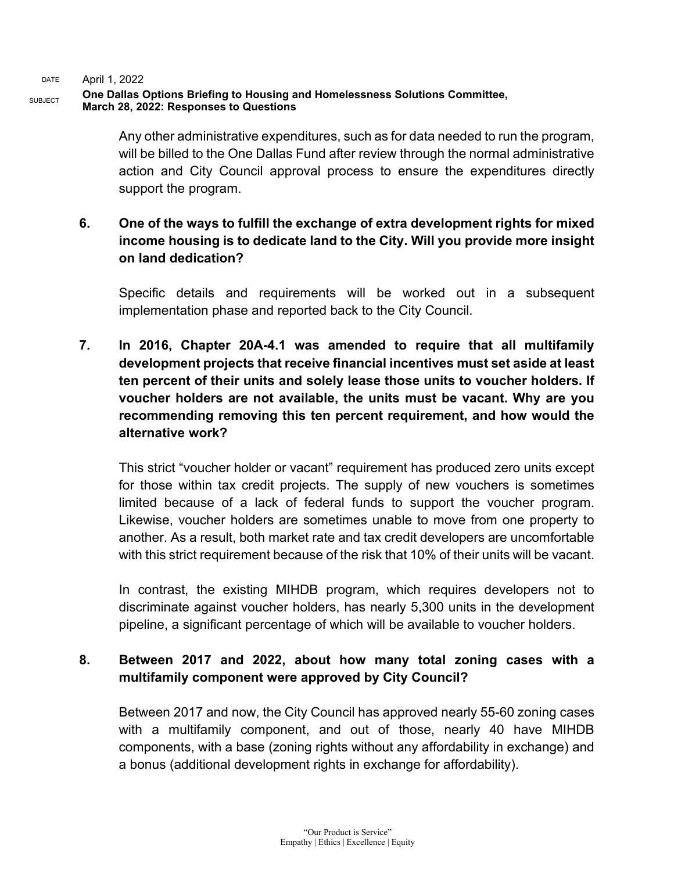#### SUBJECT **One Dallas Options Briefing to Housing and Homelessness Solutions Committee, March 28, 2022: Responses to Questions**

Any other administrative expenditures, such as for data needed to run the program, will be billed to the One Dallas Fund after review through the normal administrative action and City Council approval process to ensure the expenditures directly support the program.

## **6. One of the ways to fulfill the exchange of extra development rights for mixed income housing is to dedicate land to the City. Will you provide more insight on land dedication?**

Specific details and requirements will be worked out in a subsequent implementation phase and reported back to the City Council.

**7. In 2016, Chapter 20A-4.1 was amended to require that all multifamily development projects that receive financial incentives must set aside at least ten percent of their units and solely lease those units to voucher holders. If voucher holders are not available, the units must be vacant. Why are you recommending removing this ten percent requirement, and how would the alternative work?**

This strict "voucher holder or vacant" requirement has produced zero units except for those within tax credit projects. The supply of new vouchers is sometimes limited because of a lack of federal funds to support the voucher program. Likewise, voucher holders are sometimes unable to move from one property to another. As a result, both market rate and tax credit developers are uncomfortable with this strict requirement because of the risk that 10% of their units will be vacant.

In contrast, the existing MIHDB program, which requires developers not to discriminate against voucher holders, has nearly 5,300 units in the development pipeline, a significant percentage of which will be available to voucher holders.

## **8. Between 2017 and 2022, about how many total zoning cases with a multifamily component were approved by City Council?**

Between 2017 and now, the City Council has approved nearly 55-60 zoning cases with a multifamily component, and out of those, nearly 40 have MIHDB components, with a base (zoning rights without any affordability in exchange) and a bonus (additional development rights in exchange for affordability).